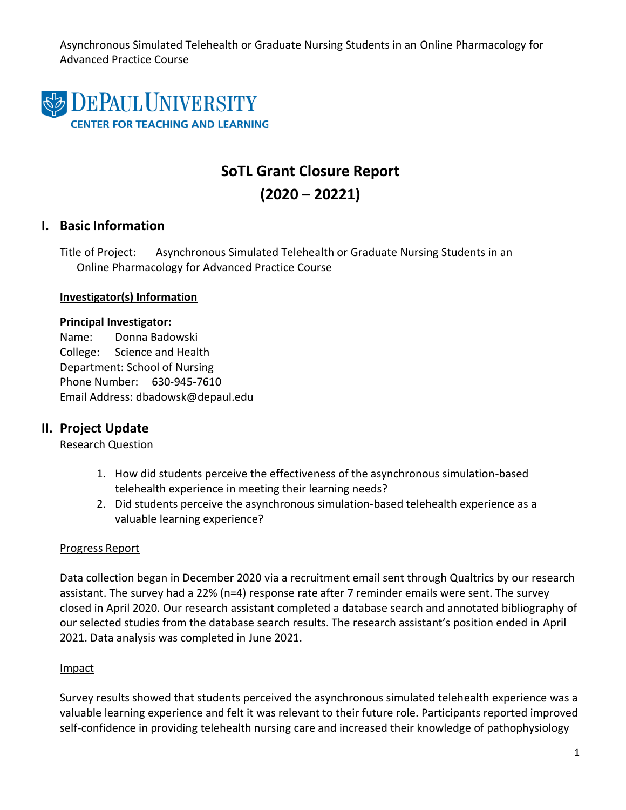Asynchronous Simulated Telehealth or Graduate Nursing Students in an Online Pharmacology for Advanced Practice Course



# **SoTL Grant Closure Report (2020 – 20221)**

## **I. Basic Information**

Title of Project: Asynchronous Simulated Telehealth or Graduate Nursing Students in an Online Pharmacology for Advanced Practice Course

#### **Investigator(s) Information**

#### **Principal Investigator:**

Name: Donna Badowski College: Science and Health Department: School of Nursing Phone Number: 630-945-7610 Email Address: dbadowsk@depaul.edu

## **II. Project Update**

### Research Question

- 1. How did students perceive the effectiveness of the asynchronous simulation-based telehealth experience in meeting their learning needs?
- 2. Did students perceive the asynchronous simulation-based telehealth experience as a valuable learning experience?

### Progress Report

Data collection began in December 2020 via a recruitment email sent through Qualtrics by our research assistant. The survey had a 22% (n=4) response rate after 7 reminder emails were sent. The survey closed in April 2020. Our research assistant completed a database search and annotated bibliography of our selected studies from the database search results. The research assistant's position ended in April 2021. Data analysis was completed in June 2021.

### Impact

Survey results showed that students perceived the asynchronous simulated telehealth experience was a valuable learning experience and felt it was relevant to their future role. Participants reported improved self-confidence in providing telehealth nursing care and increased their knowledge of pathophysiology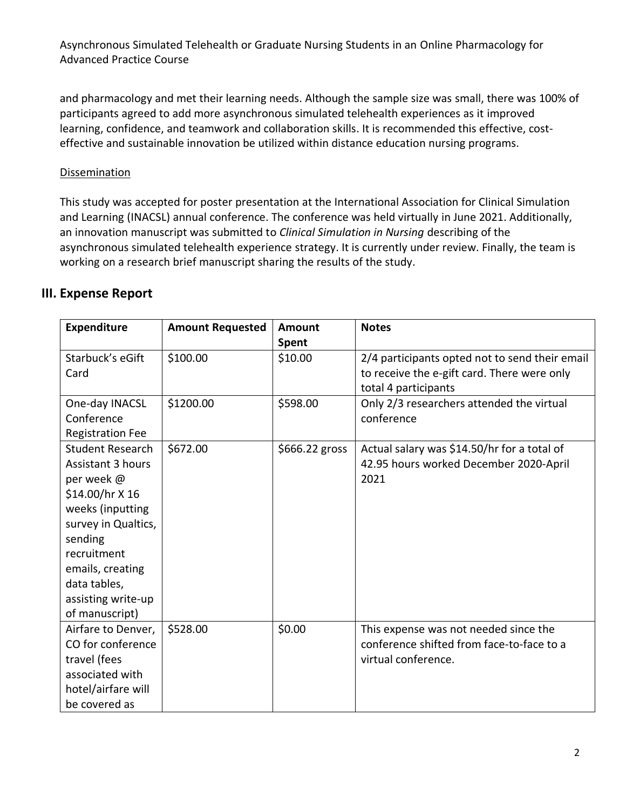Asynchronous Simulated Telehealth or Graduate Nursing Students in an Online Pharmacology for Advanced Practice Course

and pharmacology and met their learning needs. Although the sample size was small, there was 100% of participants agreed to add more asynchronous simulated telehealth experiences as it improved learning, confidence, and teamwork and collaboration skills. It is recommended this effective, costeffective and sustainable innovation be utilized within distance education nursing programs.

#### **Dissemination**

This study was accepted for poster presentation at the International Association for Clinical Simulation and Learning (INACSL) annual conference. The conference was held virtually in June 2021. Additionally, an innovation manuscript was submitted to *Clinical Simulation in Nursing* describing of the asynchronous simulated telehealth experience strategy. It is currently under review. Finally, the team is working on a research brief manuscript sharing the results of the study.

## **III. Expense Report**

| <b>Expenditure</b>                                                                                                                                                                                                                    | <b>Amount Requested</b> | Amount           | <b>Notes</b>                                                                                                          |
|---------------------------------------------------------------------------------------------------------------------------------------------------------------------------------------------------------------------------------------|-------------------------|------------------|-----------------------------------------------------------------------------------------------------------------------|
| Starbuck's eGift<br>Card                                                                                                                                                                                                              | \$100.00                | Spent<br>\$10.00 | 2/4 participants opted not to send their email<br>to receive the e-gift card. There were only<br>total 4 participants |
| One-day INACSL<br>Conference<br><b>Registration Fee</b>                                                                                                                                                                               | \$1200.00               | \$598.00         | Only 2/3 researchers attended the virtual<br>conference                                                               |
| <b>Student Research</b><br><b>Assistant 3 hours</b><br>per week @<br>\$14.00/hr X 16<br>weeks (inputting<br>survey in Qualtics,<br>sending<br>recruitment<br>emails, creating<br>data tables,<br>assisting write-up<br>of manuscript) | \$672.00                | \$666.22 gross   | Actual salary was \$14.50/hr for a total of<br>42.95 hours worked December 2020-April<br>2021                         |
| Airfare to Denver,<br>CO for conference<br>travel (fees<br>associated with<br>hotel/airfare will<br>be covered as                                                                                                                     | \$528.00                | \$0.00           | This expense was not needed since the<br>conference shifted from face-to-face to a<br>virtual conference.             |